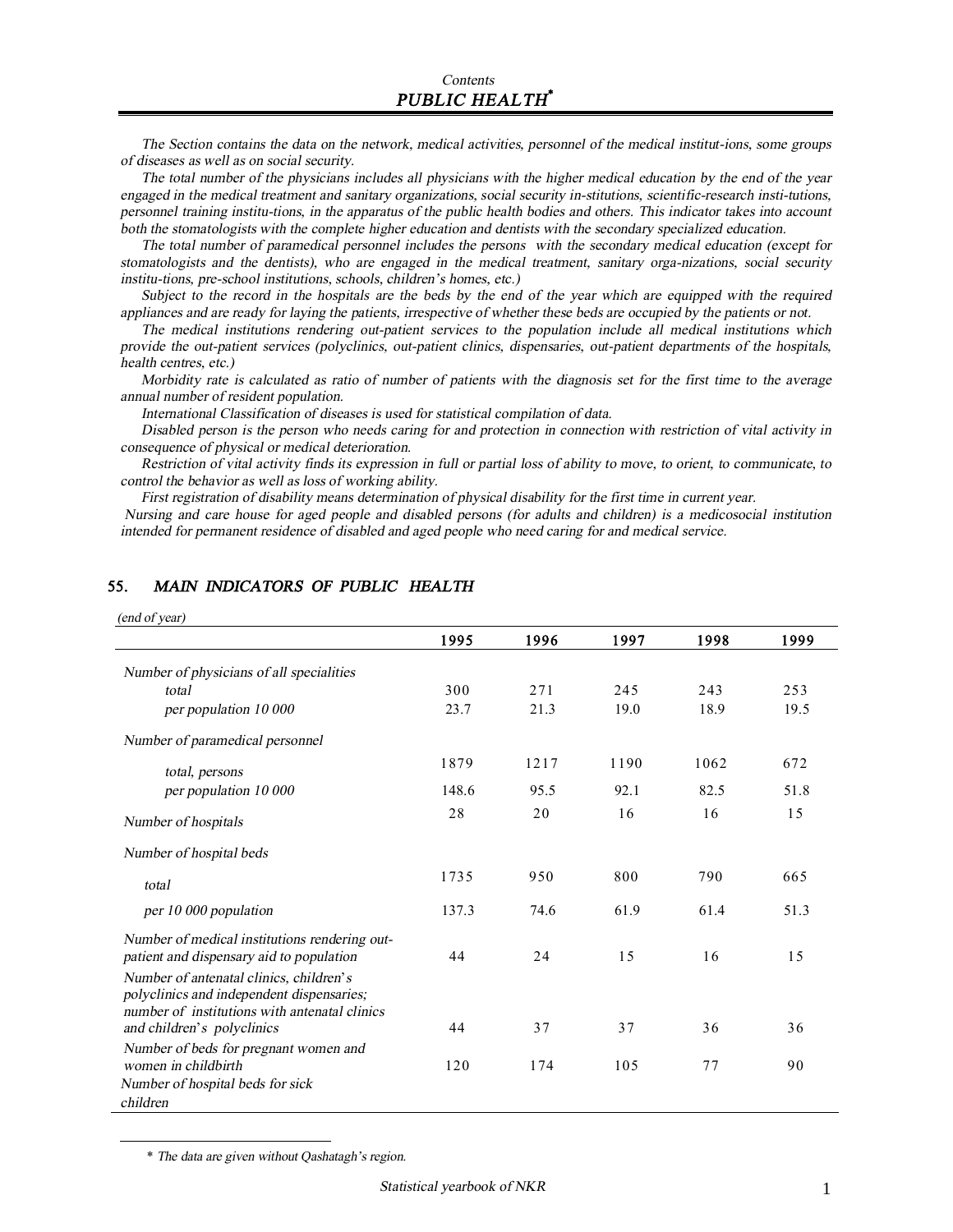The Section contains the data on the network, medical activities, personnel of the medical institut-ions, some groups *of diseases as well as on social security.* 

The total number of the physicians includes all physicians with the higher medical education by the end of the year *engaged in the medical treatment and sanitary organizations, social security in-stitutions, scientific-research insti-tutions,*  personnel training institu-tions, in the apparatus of the public health bodies and others. This indicator takes into account *both the stomatologists with the complete higher education and dentists with the secondary specialized education.* 

*The total number of paramedical personnel includes the persons with the secondary medical education (except for stomatologists and the dentists), who are engaged in the medical treatment, sanitary orga-nizations, social security institu-tions, pre-school institutions, schools, children's homes, etc.)* 

Subject to the record in the hospitals are the beds by the end of the year which are equipped with the required appliances and are ready for laying the patients, irrespective of whether these beds are occupied by the patients or not.

*The medical institutions rendering out-patient services to the population include all medical institutions which provide the out-patient services (polyclinics, out-patient clinics, dispensaries, out-patient departments of the hospitals, health centres, etc.)* 

Morbidity rate is calculated as ratio of number of patients with the diagnosis set for the first time to the average *annual number of resident population.* 

*International Classification of diseases is used for statistical compilation of data.* 

Disabled person is the person who needs caring for and protection in connection with restriction of vital activity in *consequence of physical or medical deterioration.* 

Restriction of vital activity finds its expression in full or partial loss of ability to move, to orient, to communicate, to *control the behavior as well as loss of working ability.* 

*First registration of disability means determination of physical disability for the first time in current year.* 

Nursing and care house for aged people and disabled persons (for adults and children) is a medicosocial institution *intended for permanent residence of disabled and aged people who need caring for and medical service.*

| (end of year)                                                                                                                         |       |      |      |      |      |
|---------------------------------------------------------------------------------------------------------------------------------------|-------|------|------|------|------|
|                                                                                                                                       | 1995  | 1996 | 1997 | 1998 | 1999 |
| Number of physicians of all specialities                                                                                              |       |      |      |      |      |
| total                                                                                                                                 | 300   | 271  | 245  | 243  | 253  |
| per population 10 000                                                                                                                 | 23.7  | 21.3 | 19.0 | 18.9 | 19.5 |
| Number of paramedical personnel                                                                                                       |       |      |      |      |      |
| total, persons                                                                                                                        | 1879  | 1217 | 1190 | 1062 | 672  |
| per population 10 000                                                                                                                 | 148.6 | 95.5 | 92.1 | 82.5 | 51.8 |
| Number of hospitals                                                                                                                   | 28    | 20   | 16   | 16   | 15   |
| Number of hospital beds                                                                                                               |       |      |      |      |      |
| total                                                                                                                                 | 1735  | 950  | 800  | 790  | 665  |
| per 10 000 population                                                                                                                 | 137.3 | 74.6 | 61.9 | 61.4 | 51.3 |
| Number of medical institutions rendering out-<br>patient and dispensary aid to population                                             | 44    | 24   | 15   | 16   | 15   |
| Number of antenatal clinics, children's<br>polyclinics and independent dispensaries;<br>number of institutions with antenatal clinics | 44    | 37   | 37   | 36   | 36   |
| and children's polyclinics<br>Number of beds for pregnant women and                                                                   |       |      |      |      |      |
| women in childbirth                                                                                                                   | 120   | 174  | 105  | 77   | 90   |
| Number of hospital beds for sick<br>children                                                                                          |       |      |      |      |      |

#### **55.** *MAIN INDICATORS OF PUBLIC HEALTH*

\* *The data are given without Qashatagh's region.* 

l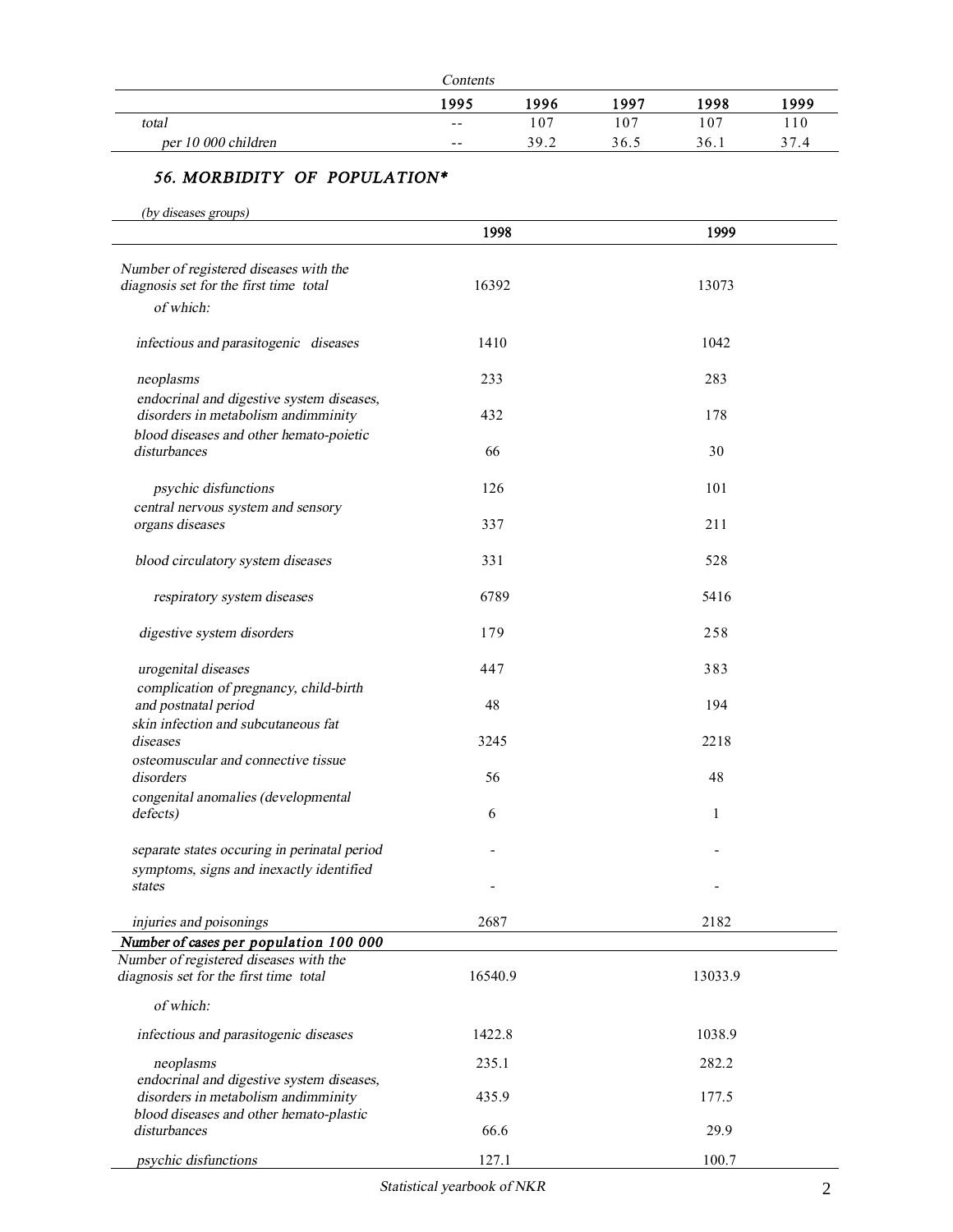|                     | Contents |      |      |                 |      |
|---------------------|----------|------|------|-----------------|------|
|                     | 1995     | 1996 | 1997 | 1998            | 1999 |
| total               | $- -$    | 107  | 107  | 10 <sup>7</sup> | 110  |
| per 10 000 children | $- -$    | 39.2 | 36.5 | 36.1            | 37.4 |

## *56. MORBIDITY OF POPULATION\**

*(by diseases groups)*

|                                                                                               | 1998    | 1999    |
|-----------------------------------------------------------------------------------------------|---------|---------|
| Number of registered diseases with the<br>diagnosis set for the first time total<br>of which: | 16392   | 13073   |
| infectious and parasitogenic diseases                                                         | 1410    | 1042    |
| neoplasms                                                                                     | 233     | 283     |
| endocrinal and digestive system diseases,<br>disorders in metabolism andimminity              | 432     | 178     |
| blood diseases and other hemato-poietic<br>disturbances                                       | 66      | 30      |
| psychic disfunctions                                                                          | 126     | 101     |
| central nervous system and sensory<br>organs diseases                                         | 337     | 211     |
| blood circulatory system diseases                                                             | 331     | 528     |
| respiratory system diseases                                                                   | 6789    | 5416    |
| digestive system disorders                                                                    | 179     | 258     |
| urogenital diseases<br>complication of pregnancy, child-birth                                 | 447     | 383     |
| and postnatal period<br>skin infection and subcutaneous fat                                   | 48      | 194     |
| diseases<br>osteomuscular and connective tissue                                               | 3245    | 2218    |
| disorders                                                                                     | 56      | 48      |
| congenital anomalies (developmental<br>defects)                                               | 6       | 1       |
| separate states occuring in perinatal period<br>symptoms, signs and inexactly identified      |         |         |
| states                                                                                        |         |         |
| injuries and poisonings                                                                       | 2687    | 2182    |
| Number of cases per population 100 000<br>Number of registered diseases with the              |         |         |
| diagnosis set for the first time total                                                        | 16540.9 | 13033.9 |
| of which:                                                                                     |         |         |
| infectious and parasitogenic diseases                                                         | 1422.8  | 1038.9  |
| neoplasms<br>endocrinal and digestive system diseases,                                        | 235.1   | 282.2   |
| disorders in metabolism andimminity<br>blood diseases and other hemato-plastic                | 435.9   | 177.5   |
| disturbances                                                                                  | 66.6    | 29.9    |
| psychic disfunctions                                                                          | 127.1   | 100.7   |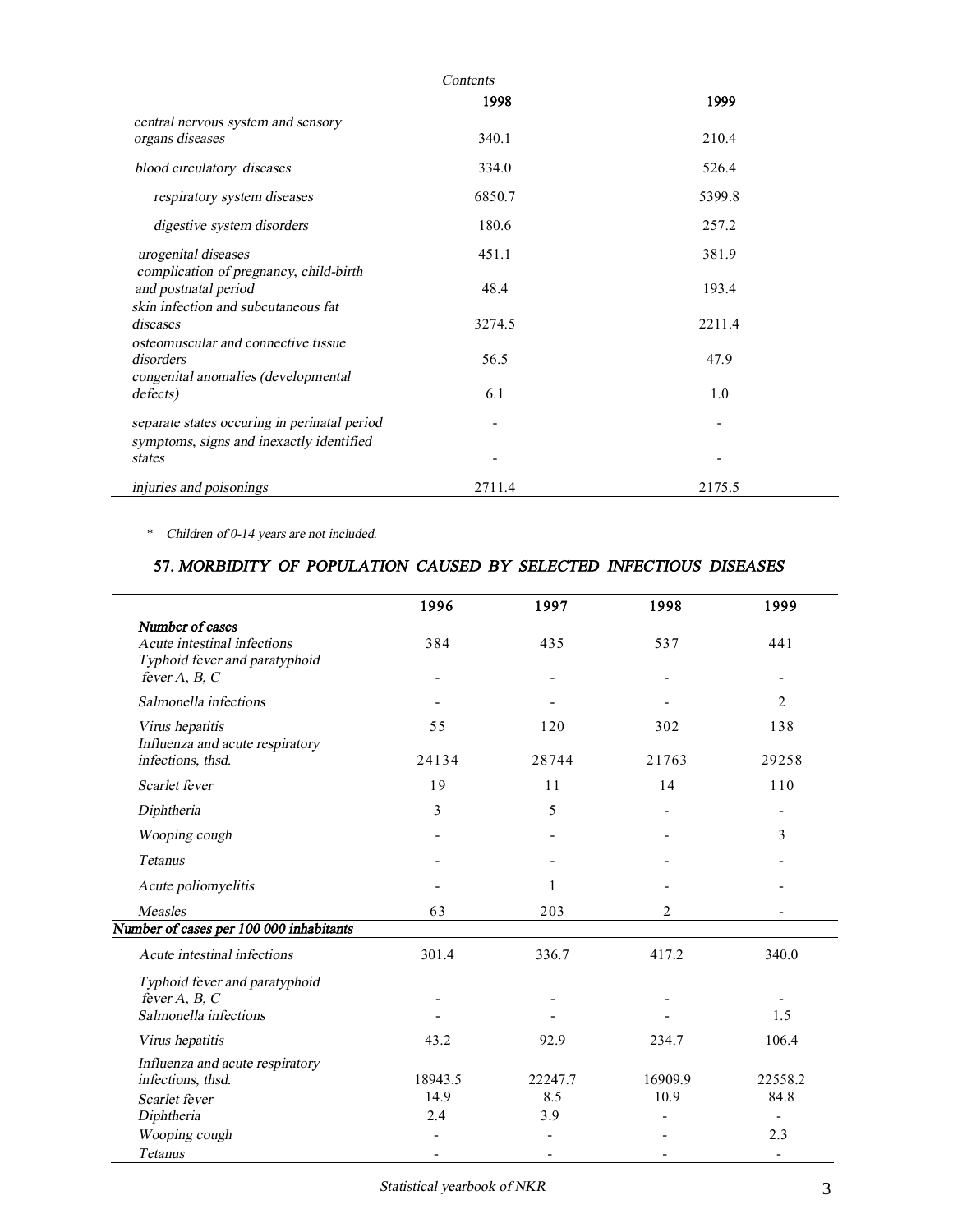|                                              | 1998   | 1999   |
|----------------------------------------------|--------|--------|
| central nervous system and sensory           |        |        |
| organs diseases                              | 340.1  | 210.4  |
| blood circulatory diseases                   | 334.0  | 526.4  |
| respiratory system diseases                  | 6850.7 | 5399.8 |
| digestive system disorders                   | 180.6  | 257.2  |
| urogenital diseases                          | 451.1  | 381.9  |
| complication of pregnancy, child-birth       |        |        |
| and postnatal period                         | 48.4   | 193.4  |
| skin infection and subcutaneous fat          |        |        |
| diseases                                     | 3274.5 | 2211.4 |
| osteomuscular and connective tissue          |        |        |
| disorders                                    | 56.5   | 47.9   |
| congenital anomalies (developmental          |        |        |
| defects)                                     | 6.1    | 1.0    |
| separate states occuring in perinatal period |        |        |
| symptoms, signs and inexactly identified     |        |        |
| states                                       |        |        |
| injuries and poisonings                      | 2711.4 | 2175.5 |

\* *Children of 0-14 years are not included.* 

## **57.** *MORBIDITY OF POPULATION CAUSED BY SELECTED INFECTIOUS DISEASES*

|                                                    | 1996              | 1997                     | 1998           | 1999                     |
|----------------------------------------------------|-------------------|--------------------------|----------------|--------------------------|
| Number of cases<br>Acute intestinal infections     | 384               | 435                      | 537            | 441                      |
| Typhoid fever and paratyphoid<br>fever $A, B, C$   |                   |                          |                |                          |
| Salmonella infections                              |                   |                          |                | $\overline{c}$           |
| Virus hepatitis<br>Influenza and acute respiratory | 55                | 120                      | 302            | 138                      |
| infections, thsd.                                  | 24134             | 28744                    | 21763          | 29258                    |
| Scarlet fever                                      | 19                | 11                       | 14             | 110                      |
| Diphtheria                                         | 3                 | 5                        |                |                          |
| Wooping cough                                      | $\qquad \qquad -$ | $\overline{\phantom{a}}$ |                | 3                        |
| <b>Tetanus</b>                                     |                   |                          |                |                          |
| Acute poliomyelitis                                |                   | 1                        |                |                          |
| <b>Measles</b>                                     | 63                | 203                      | $\overline{2}$ |                          |
| Number of cases per 100 000 inhabitants            |                   |                          |                |                          |
| Acute intestinal infections                        | 301.4             | 336.7                    | 417.2          | 340.0                    |
| Typhoid fever and paratyphoid                      |                   |                          |                |                          |
| fever $A, B, C$                                    |                   |                          |                |                          |
| Salmonella infections                              |                   |                          |                | 1.5                      |
| Virus hepatitis                                    | 43.2              | 92.9                     | 234.7          | 106.4                    |
| Influenza and acute respiratory                    |                   |                          |                |                          |
| infections, thsd.                                  | 18943.5           | 22247.7                  | 16909.9        | 22558.2                  |
| Scarlet fever                                      | 14.9              | 8.5                      | 10.9           | 84.8                     |
| Diphtheria                                         | 2.4               | 3.9                      |                |                          |
| Wooping cough                                      |                   |                          |                | 2.3                      |
| <b>Tetanus</b>                                     |                   |                          |                | $\overline{\phantom{a}}$ |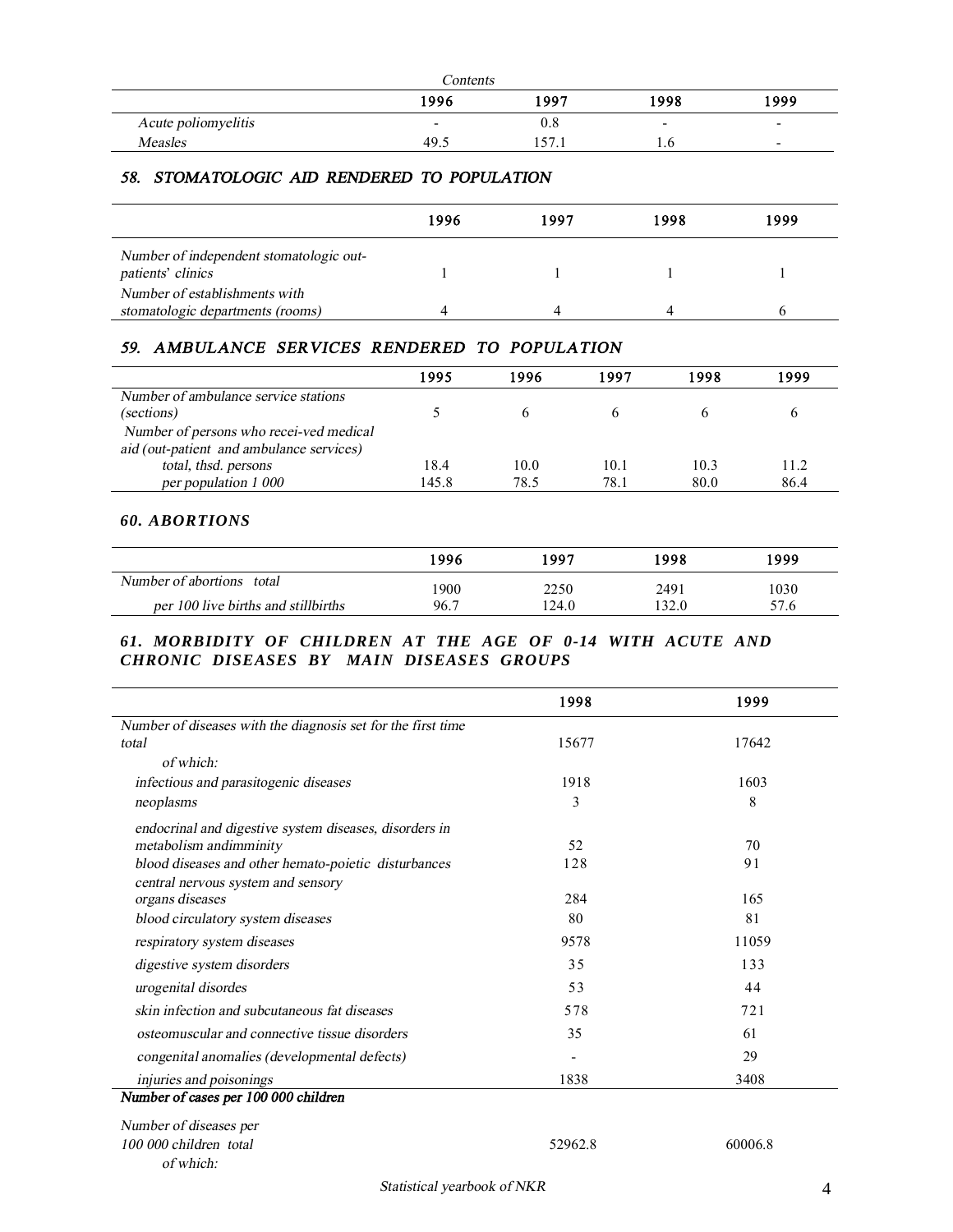|                     | Contents |               |      |                          |
|---------------------|----------|---------------|------|--------------------------|
|                     | 1996     | 1997          | 1998 | 1999                     |
| Acute poliomyelitis | -        | v.e           | -    | $\overline{\phantom{0}}$ |
| <b>Measles</b>      | 49.      | . 57<br>171.1 | 1.0  | $\overline{\phantom{0}}$ |

#### *58. STOMATOLOGIC AID RENDERED TO POPULATION*

|                                                                   | 1996 | 1997 | 1998 | 1999 |
|-------------------------------------------------------------------|------|------|------|------|
| Number of independent stomatologic out-<br>patients' clinics      |      |      |      |      |
| Number of establishments with<br>stomatologic departments (rooms) |      |      |      |      |

# *59. AMBULANCE SERVICES RENDERED TO POPULATION*

|                                          | 1995  | 1996 | 1997 | 1998 | 1999 |
|------------------------------------------|-------|------|------|------|------|
| Number of ambulance service stations     |       |      |      |      |      |
| (sections)                               |       |      |      |      |      |
| Number of persons who recei-ved medical  |       |      |      |      |      |
| aid (out-patient and ambulance services) |       |      |      |      |      |
| total, thsd. persons                     | 18.4  | 10.0 | 10.1 | 10.3 | 11.2 |
| per population 1 000                     | 145.8 | 78.5 | 78.1 | 80.0 | 86.4 |

#### *60. ABORTIONS*

|                                     | 1996 | 1997  | 1998  | 1999 |
|-------------------------------------|------|-------|-------|------|
| Number of abortions total           | 1900 | 2250  | 2491  | 1030 |
| per 100 live births and stillbirths | 96.7 | 124.0 | 132.0 | 57.6 |

### *61. MORBIDITY OF CHILDREN AT THE AGE OF 0-14 WITH ACUTE AND CHRONIC DISEASES BY MAIN DISEASES GROUPS*

| 1998           | 1999  |
|----------------|-------|
|                |       |
| 15677          | 17642 |
|                |       |
| 1918           | 1603  |
| 3              | 8     |
|                |       |
| 52             | 70    |
| 128            | 91    |
|                |       |
|                | 165   |
| 80             | 81    |
| 9578           | 11059 |
| 35             | 133   |
| 53             | 44    |
| 578            | 721   |
| 35             | 61    |
| $\blacksquare$ | 29    |
| 1838           | 3408  |
|                |       |
|                |       |
|                | 284   |

*<sup>100</sup> <sup>000</sup> children total* 52962.8 60006.8 *of which:*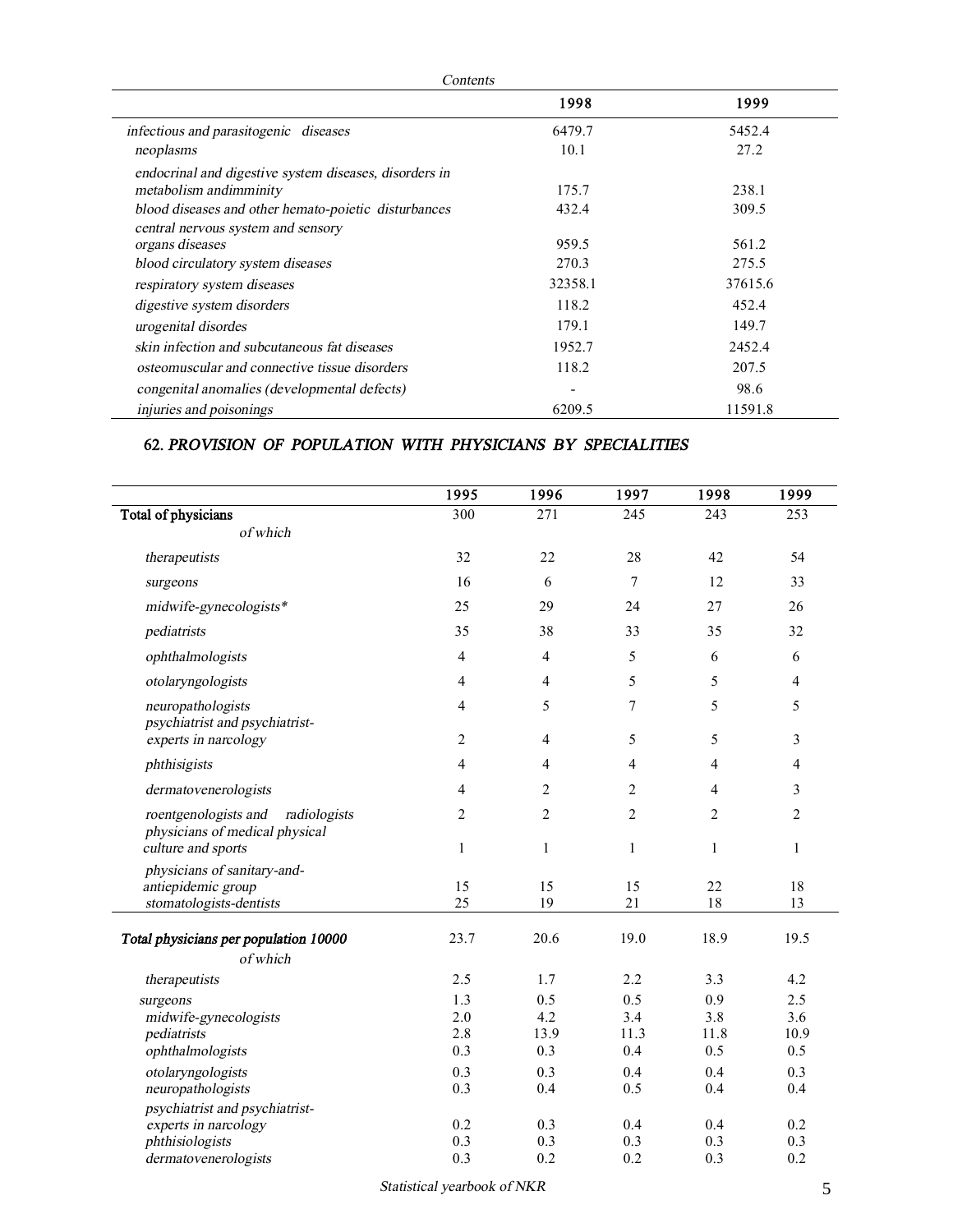|                                                        | 1998    | 1999    |
|--------------------------------------------------------|---------|---------|
| infectious and parasitogenic diseases                  | 6479.7  | 5452.4  |
| neoplasms                                              | 10.1    | 27.2    |
| endocrinal and digestive system diseases, disorders in |         |         |
| metabolism and imminity                                | 175.7   | 238.1   |
| blood diseases and other hemato-poietic disturbances   | 432.4   | 309.5   |
| central nervous system and sensory                     |         |         |
| organs diseases                                        | 959.5   | 561.2   |
| blood circulatory system diseases                      | 270.3   | 275.5   |
| respiratory system diseases                            | 32358.1 | 37615.6 |
| digestive system disorders                             | 118.2   | 452.4   |
| urogenital disordes                                    | 179.1   | 149.7   |
| skin infection and subcutaneous fat diseases           | 1952.7  | 2452.4  |
| osteomuscular and connective tissue disorders          | 118.2   | 207.5   |
| congenital anomalies (developmental defects)           | -       | 98.6    |
| injuries and poisonings                                | 6209.5  | 11591.8 |

#### **62.** *PROVISION OF POPULATION WITH PHYSICIANS BY SPECIALITIES*

|                                                                        | 1995           | 1996           | 1997           | 1998           | 1999           |
|------------------------------------------------------------------------|----------------|----------------|----------------|----------------|----------------|
| Total of physicians                                                    | 300            | 271            | 245            | 243            | 253            |
| of which                                                               |                |                |                |                |                |
| therapeutists                                                          | 32             | 22             | 28             | 42             | 54             |
| surgeons                                                               | 16             | 6              | 7              | 12             | 33             |
| midwife-gynecologists*                                                 | 25             | 29             | 24             | 27             | 26             |
| pediatrists                                                            | 35             | 38             | 33             | 35             | 32             |
| ophthalmologists                                                       | $\overline{4}$ | 4              | 5              | 6              | 6              |
| otolaryngologists                                                      | $\overline{4}$ | 4              | 5              | 5              | 4              |
| neuropathologists<br>psychiatrist and psychiatrist-                    | $\overline{4}$ | 5              | 7              | 5              | 5              |
| experts in narcology                                                   | $\overline{2}$ | $\overline{4}$ | 5              | 5              | $\mathfrak{Z}$ |
| phthisigists                                                           | $\overline{4}$ | 4              | $\overline{4}$ | $\overline{4}$ | $\overline{4}$ |
| dermatovenerologists                                                   | $\overline{4}$ | 2              | 2              | $\overline{4}$ | 3              |
| roentgenologists and<br>radiologists<br>physicians of medical physical | $\overline{2}$ | $\overline{c}$ | $\overline{2}$ | $\overline{2}$ | $\overline{c}$ |
| culture and sports                                                     | $\mathbf{1}$   | $\mathbf{1}$   | $\mathbf{1}$   | $\mathbf{1}$   | $\mathbf{1}$   |
| physicians of sanitary-and-<br>antiepidemic group                      | 15             | 15             | 15             | 22             | 18             |
| stomatologists-dentists                                                | $25\,$         | 19             | 21             | 18             | 13             |
| Total physicians per population 10000                                  | 23.7           | 20.6           | 19.0           | 18.9           | 19.5           |
| of which                                                               |                |                |                |                |                |
| therapeutists                                                          | 2.5            | 1.7            | 2.2            | 3.3            | 4.2            |
| surgeons                                                               | 1.3            | 0.5            | 0.5            | 0.9            | 2.5            |
| midwife-gynecologists                                                  | 2.0            | 4.2            | 3.4            | 3.8            | 3.6            |
| pediatrists                                                            | 2.8            | 13.9           | 11.3           | 11.8           | 10.9           |
| ophthalmologists                                                       | 0.3            | 0.3            | 0.4            | 0.5            | 0.5            |
| otolaryngologists<br>neuropathologists                                 | 0.3<br>0.3     | 0.3<br>0.4     | 0.4<br>0.5     | 0.4<br>0.4     | 0.3<br>0.4     |
| psychiatrist and psychiatrist-                                         |                |                |                |                |                |
| experts in narcology                                                   | 0.2            | 0.3            | 0.4            | 0.4            | 0.2            |
| phthisiologists                                                        | 0.3            | 0.3            | 0.3            | 0.3            | 0.3            |
| dermatovenerologists                                                   | 0.3            | 0.2            | 0.2            | 0.3            | 0.2            |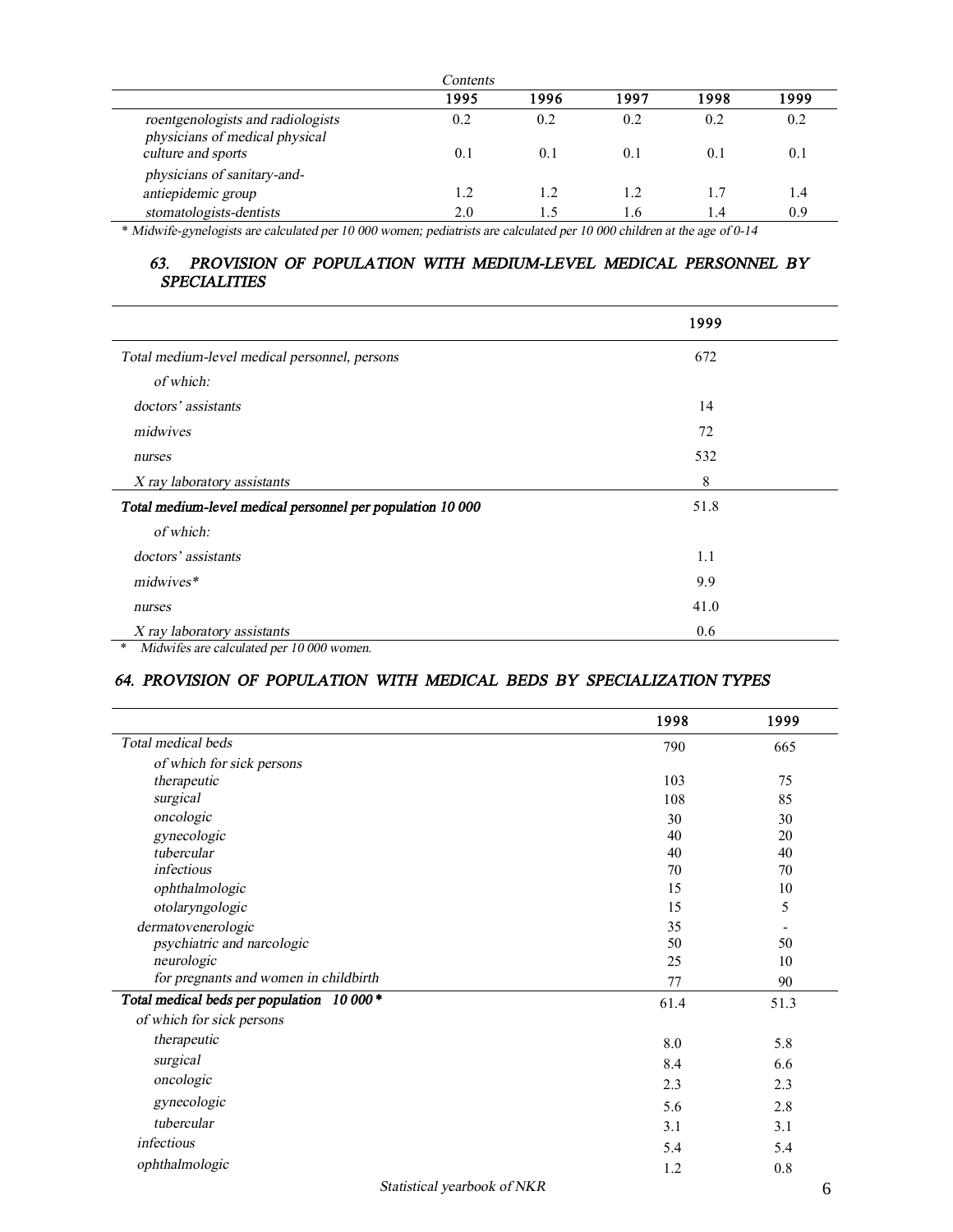| Contents                                                            |      |                |      |      |      |
|---------------------------------------------------------------------|------|----------------|------|------|------|
|                                                                     | 1995 | 1996           | 1997 | 1998 | 1999 |
| roentgenologists and radiologists<br>physicians of medical physical | 0.2  | 0.2            | 0.2  | 0.2  | 0.2  |
| culture and sports                                                  | 0.1  | 0.1            | 0.1  | 0.1  | 0.1  |
| physicians of sanitary-and-                                         |      |                |      |      |      |
| antiepidemic group                                                  | 1.2  | $\overline{1}$ | 1.2. | 1.7  | 1.4  |
| stomatologists-dentists                                             | 2.0  |                | l.6  | l .4 | 0.9  |

\* *Midwife-gynelogists are calculated per 10 000 women; pediatrists are calculated per <sup>10</sup> 000 children at the age of 0-14* 

## *63. PROVISION OF POPULATION WITH MEDIUM-LEVEL MEDICAL PERSONNEL BY SPECIALITIES*

|                                                            | 1999 |
|------------------------------------------------------------|------|
| Total medium-level medical personnel, persons              | 672  |
| of which:                                                  |      |
| doctors' assistants                                        | 14   |
| midwives                                                   | 72   |
| nurses                                                     | 532  |
| X ray laboratory assistants                                | 8    |
| Total medium-level medical personnel per population 10 000 | 51.8 |
| of which:                                                  |      |
| doctors' assistants                                        | 1.1  |
| midwives*                                                  | 9.9  |
| nurses                                                     | 41.0 |
| X ray laboratory assistants                                | 0.6  |
| Midwifes are calculated per 10 000 women.<br>$\ast$        |      |

## *64. PROVISION OF POPULATION WITH MEDICAL BEDS BY SPECIALIZATION TYPES*

|                                           | 1998 | 1999 |
|-------------------------------------------|------|------|
| Total medical beds                        | 790  | 665  |
| of which for sick persons                 |      |      |
| therapeutic                               | 103  | 75   |
| surgical                                  | 108  | 85   |
| oncologic                                 | 30   | 30   |
| gynecologic                               | 40   | 20   |
| tubercular                                | 40   | 40   |
| infectious                                | 70   | 70   |
| ophthalmologic                            | 15   | 10   |
| otolaryngologic                           | 15   | 5    |
| dermatovenerologic                        | 35   |      |
| psychiatric and narcologic                | 50   | 50   |
| neurologic                                | 25   | 10   |
| for pregnants and women in childbirth     | 77   | 90   |
| Total medical beds per population 10 000* | 61.4 | 51.3 |
| of which for sick persons                 |      |      |
| therapeutic                               | 8.0  | 5.8  |
| surgical                                  | 8.4  | 6.6  |
| oncologic                                 | 2.3  | 2.3  |
| gynecologic                               | 5.6  | 2.8  |
| tubercular                                | 3.1  | 3.1  |
| infectious                                | 5.4  | 5.4  |
| ophthalmologic                            | 1.2  | 0.8  |
| Statistical yearbook of NKR               |      | 6    |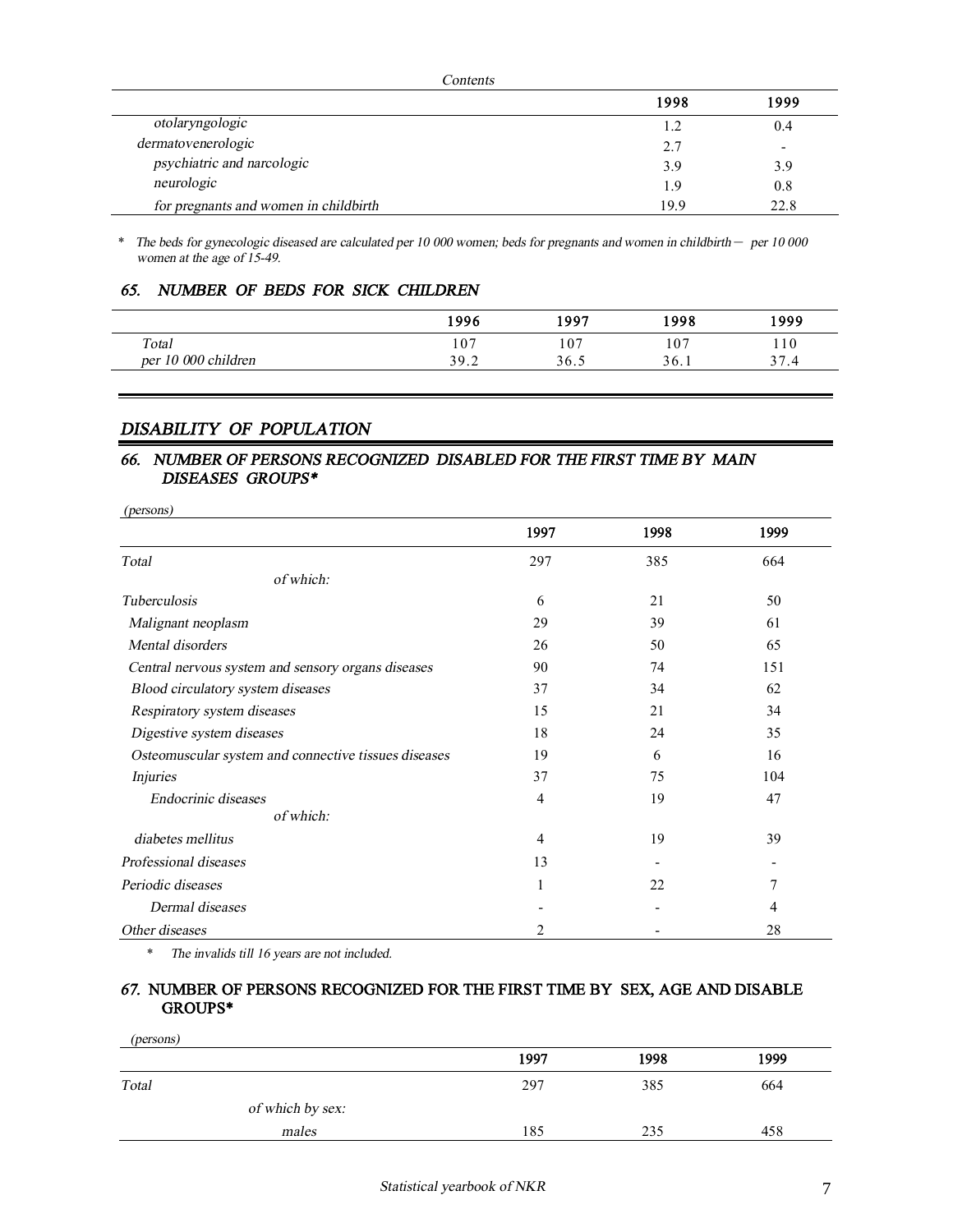| <i>Contents</i>                       |      |      |  |
|---------------------------------------|------|------|--|
|                                       | 1998 | 1999 |  |
| otolaryngologic                       | 1.2  | 0.4  |  |
| dermatovenerologic                    | 2.7  |      |  |
| psychiatric and narcologic            | 3.9  | 3.9  |  |
| neurologic                            | 1.9  | 0.8  |  |
| for pregnants and women in childbirth | 19.9 | 22.8 |  |

\* *The beds for gynecologic diseased are calculated per 10 000 women; beds for pregnants and women in childbirth* – *per <sup>10</sup> <sup>000</sup> women at the age of 15-49.* 

## *65. NUMBER OF BEDS FOR SICK CHILDREN*

|                          | 1996 | 1997 | 1998 | 1999                      |
|--------------------------|------|------|------|---------------------------|
| Total                    | 107  | 107  | 107  | 110                       |
| r 10 000 children<br>per | 39.2 | 36.5 | 36.1 | 37<br>$^{\prime}$ .4<br>ັ |

## *DISABILITY OF POPULATION*

#### *66. NUMBER OF PERSONS RECOGNIZED DISABLED FOR THE FIRST TIME BY MAIN DISEASES GROUPS\**

| (persons)                                            |      |      |      |
|------------------------------------------------------|------|------|------|
|                                                      | 1997 | 1998 | 1999 |
| Total                                                | 297  | 385  | 664  |
| of which:                                            |      |      |      |
| <b>Tuberculosis</b>                                  | 6    | 21   | 50   |
| Malignant neoplasm                                   | 29   | 39   | 61   |
| Mental disorders                                     | 26   | 50   | 65   |
| Central nervous system and sensory organs diseases   | 90   | 74   | 151  |
| Blood circulatory system diseases                    | 37   | 34   | 62   |
| Respiratory system diseases                          | 15   | 21   | 34   |
| Digestive system diseases                            | 18   | 24   | 35   |
| Osteomuscular system and connective tissues diseases | 19   | 6    | 16   |
| <i>Injuries</i>                                      | 37   | 75   | 104  |
| Endocrinic diseases                                  | 4    | 19   | 47   |
| of which:                                            |      |      |      |
| diabetes mellitus                                    | 4    | 19   | 39   |
| Professional diseases                                | 13   |      |      |
| Periodic diseases                                    | 1    | 22   | 7    |
| Dermal diseases                                      |      |      | 4    |
| Other diseases                                       | 2    |      | 28   |

\* *The invalids till 16 years are not included.* 

#### *67.* **NUMBER OF PERSONS RECOGNIZED FOR THE FIRST TIME BY SEX, AGE AND DISABLE GROUPS\***

| (persons)        |      |      |      |
|------------------|------|------|------|
|                  | 1997 | 1998 | 1999 |
| Total            | 297  | 385  | 664  |
| of which by sex: |      |      |      |
| males            | 185  | 235  | 458  |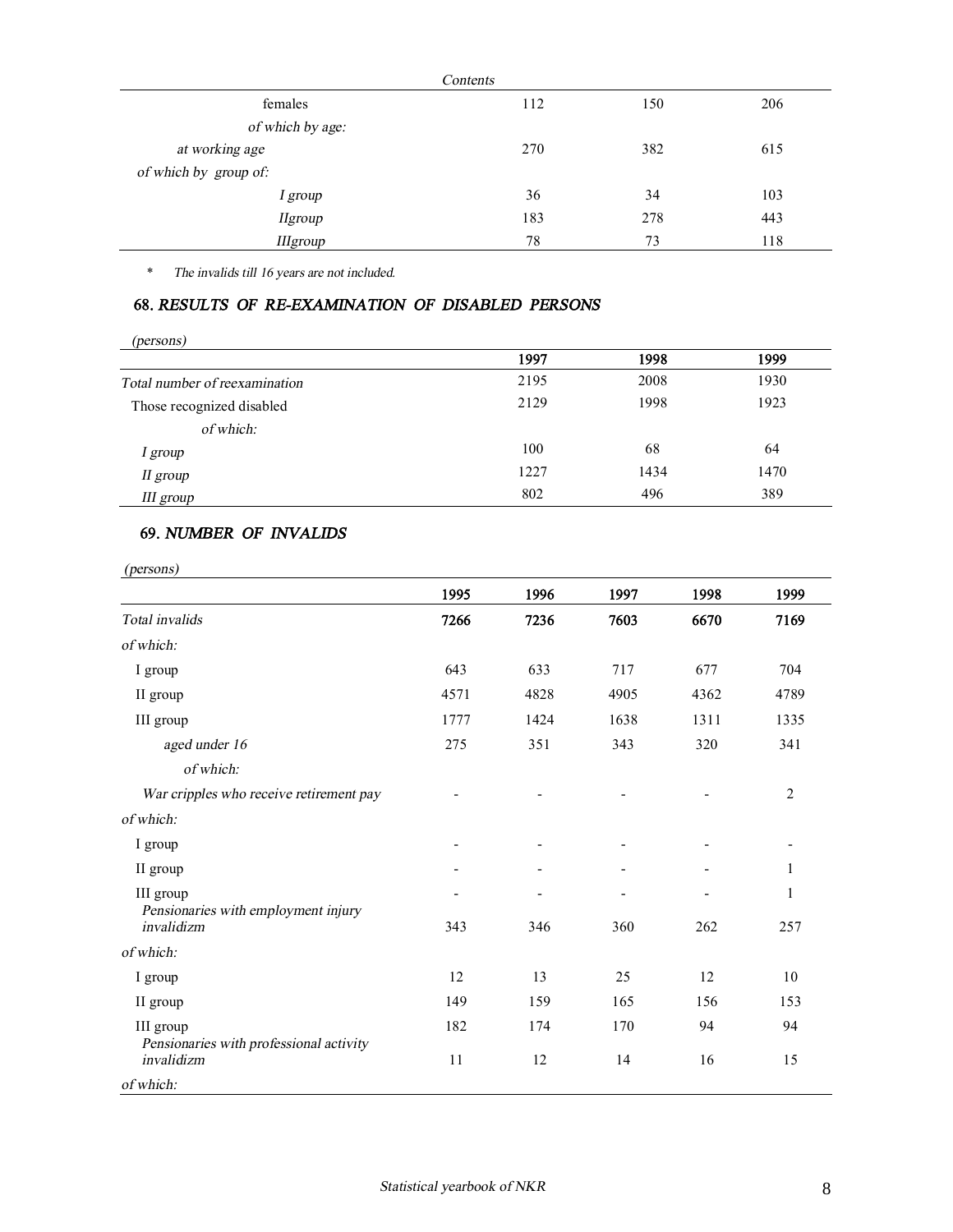|                       | Contents |     |     |
|-----------------------|----------|-----|-----|
| females               | 112      | 150 | 206 |
| of which by age:      |          |     |     |
| at working age        | 270      | 382 | 615 |
| of which by group of: |          |     |     |
| I group               | 36       | 34  | 103 |
| <b>Hgroup</b>         | 183      | 278 | 443 |
| <b>IIIgroup</b>       | 78       | 73  | 118 |

\* *The invalids till <sup>16</sup> years are not included.* 

#### **68.** *RESULTS OF RE-EXAMINATION OF DISABLED PERSONS*

| ( <i>persons</i> )            |      |      |      |
|-------------------------------|------|------|------|
|                               | 1997 | 1998 | 1999 |
| Total number of reexamination | 2195 | 2008 | 1930 |
| Those recognized disabled     | 2129 | 1998 | 1923 |
| of which:                     |      |      |      |
| I group                       | 100  | 68   | 64   |
| II group                      | 1227 | 1434 | 1470 |
| III group                     | 802  | 496  | 389  |

## **69.** *NUMBER OF INVALIDS*

| (persons)                                            |      |      |      |      |                |
|------------------------------------------------------|------|------|------|------|----------------|
|                                                      | 1995 | 1996 | 1997 | 1998 | 1999           |
| Total invalids                                       | 7266 | 7236 | 7603 | 6670 | 7169           |
| of which:                                            |      |      |      |      |                |
| I group                                              | 643  | 633  | 717  | 677  | 704            |
| II group                                             | 4571 | 4828 | 4905 | 4362 | 4789           |
| III group                                            | 1777 | 1424 | 1638 | 1311 | 1335           |
| aged under 16                                        | 275  | 351  | 343  | 320  | 341            |
| of which:                                            |      |      |      |      |                |
| War cripples who receive retirement pay              |      |      |      |      | $\overline{2}$ |
| of which:                                            |      |      |      |      |                |
| I group                                              |      |      |      |      |                |
| II group                                             |      |      |      |      | 1              |
| III group                                            |      |      |      |      | 1              |
| Pensionaries with employment injury<br>invalidizm    | 343  | 346  | 360  | 262  | 257            |
| of which:                                            |      |      |      |      |                |
| I group                                              | 12   | 13   | 25   | 12   | 10             |
| II group                                             | 149  | 159  | 165  | 156  | 153            |
| III group<br>Pensionaries with professional activity | 182  | 174  | 170  | 94   | 94             |
| invalidizm                                           | 11   | 12   | 14   | 16   | 15             |
| of which:                                            |      |      |      |      |                |